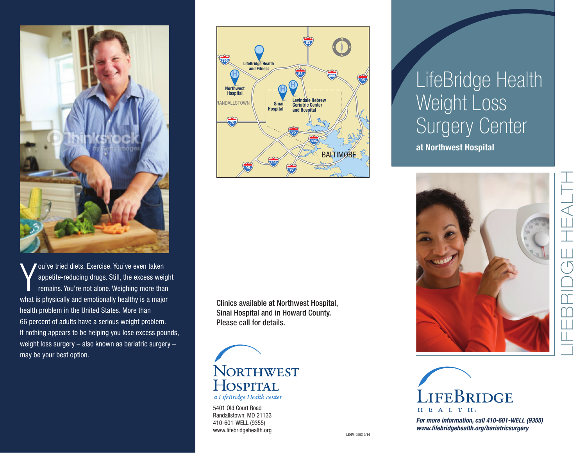

Y ou've tried diets. Exercise. You've even taken appetite-reducing drugs. Still, the excess weight remains. You're not alone. Weighing more than what is physically and emotionally healthy is a major health problem in the United States. More than 66 percent of adults have a serious weight problem. If nothing appears to be helping you lose excess pounds, weight loss surgery – also known as bariatric surgery – may be your best option.



Clinics available at Northwest Hospital, Sinai Hospital and in Howard County. Please call for details.



5401 Old Court Road Randallstown, MD 21133 410-601-WELL (9355) www.lifebridgehealth.org

# LifeBridge Health Weight Loss Surgery Cent Surgery Center

**at Northwest Hospital**





*For more information, call 410-601-WELL (9355) www.lifebridgehealth.org/bariatricsurgery*